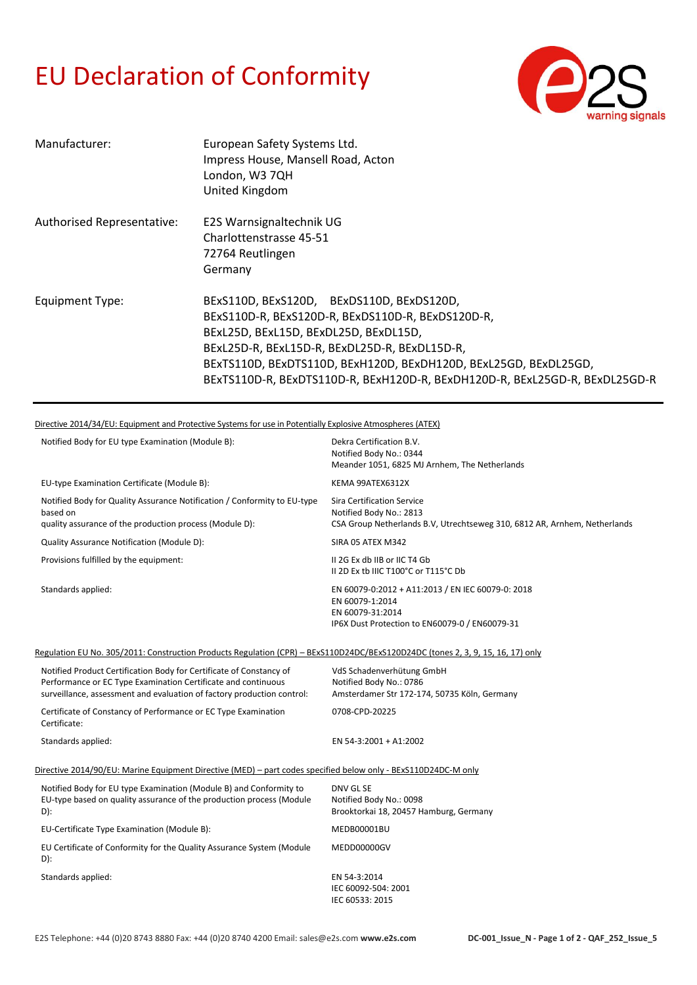## EU Declaration of Conformity



| Manufacturer:              | European Safety Systems Ltd.<br>Impress House, Mansell Road, Acton<br>London, W3 7QH<br>United Kingdom                                                                                                                                                                                                                                      |
|----------------------------|---------------------------------------------------------------------------------------------------------------------------------------------------------------------------------------------------------------------------------------------------------------------------------------------------------------------------------------------|
| Authorised Representative: | E2S Warnsignaltechnik UG<br>Charlottenstrasse 45-51<br>72764 Reutlingen<br>Germany                                                                                                                                                                                                                                                          |
| Equipment Type:            | BExS110D, BExS120D, BExDS110D, BExDS120D,<br>BExS110D-R, BExS120D-R, BExDS110D-R, BExDS120D-R,<br>BExL25D, BExL15D, BExDL25D, BExDL15D,<br>BExL25D-R, BExL15D-R, BExDL25D-R, BExDL15D-R,<br>BExTS110D, BExDTS110D, BExH120D, BExDH120D, BExL25GD, BExDL25GD,<br>BExTS110D-R, BExDTS110D-R, BExH120D-R, BExDH120D-R, BExL25GD-R, BExDL25GD-R |

Directive 2014/34/EU: Equipment and Protective Systems for use in Potentially Explosive Atmospheres (ATEX)

|                                                                                                                                 | Notified Body for EU type Examination (Module B):                                                                                                                                                              | Dekra Certification B.V.<br>Notified Body No.: 0344<br>Meander 1051, 6825 MJ Arnhem, The Netherlands                                       |  |
|---------------------------------------------------------------------------------------------------------------------------------|----------------------------------------------------------------------------------------------------------------------------------------------------------------------------------------------------------------|--------------------------------------------------------------------------------------------------------------------------------------------|--|
|                                                                                                                                 | EU-type Examination Certificate (Module B):                                                                                                                                                                    | KEMA 99ATEX6312X                                                                                                                           |  |
| based on                                                                                                                        | Notified Body for Quality Assurance Notification / Conformity to EU-type<br>quality assurance of the production process (Module D):                                                                            | <b>Sira Certification Service</b><br>Notified Body No.: 2813<br>CSA Group Netherlands B.V, Utrechtseweg 310, 6812 AR, Arnhem, Netherlands  |  |
|                                                                                                                                 | Quality Assurance Notification (Module D):                                                                                                                                                                     | SIRA 05 ATEX M342                                                                                                                          |  |
|                                                                                                                                 | Provisions fulfilled by the equipment:                                                                                                                                                                         | II 2G Ex db IIB or IIC T4 Gb<br>II 2D Ex tb IIIC T100°C or T115°C Db                                                                       |  |
|                                                                                                                                 | Standards applied:                                                                                                                                                                                             | EN 60079-0:2012 + A11:2013 / EN IEC 60079-0: 2018<br>EN 60079-1:2014<br>EN 60079-31:2014<br>IP6X Dust Protection to EN60079-0 / EN60079-31 |  |
| Regulation EU No. 305/2011: Construction Products Regulation (CPR) - BExS110D24DC/BExS120D24DC (tones 2, 3, 9, 15, 16, 17) only |                                                                                                                                                                                                                |                                                                                                                                            |  |
|                                                                                                                                 | Notified Product Certification Body for Certificate of Constancy of<br>Performance or EC Type Examination Certificate and continuous<br>surveillance, assessment and evaluation of factory production control: | VdS Schadenverhütung GmbH<br>Notified Body No.: 0786<br>Amsterdamer Str 172-174, 50735 Köln, Germany                                       |  |
| Certificate:                                                                                                                    | Certificate of Constancy of Performance or EC Type Examination                                                                                                                                                 | 0708-CPD-20225                                                                                                                             |  |
|                                                                                                                                 | Standards applied:                                                                                                                                                                                             | EN 54-3:2001 + A1:2002                                                                                                                     |  |
| Directive 2014/90/EU: Marine Equipment Directive (MED) - part codes specified below only - BExS110D24DC-M only                  |                                                                                                                                                                                                                |                                                                                                                                            |  |
| D):                                                                                                                             | Notified Body for EU type Examination (Module B) and Conformity to<br>EU-type based on quality assurance of the production process (Module                                                                     | DNV GL SE<br>Notified Body No.: 0098<br>Brooktorkai 18, 20457 Hamburg, Germany                                                             |  |
|                                                                                                                                 | EU-Certificate Type Examination (Module B):                                                                                                                                                                    | MEDB00001BU                                                                                                                                |  |
| $D)$ :                                                                                                                          | EU Certificate of Conformity for the Quality Assurance System (Module                                                                                                                                          | MEDD00000GV                                                                                                                                |  |
|                                                                                                                                 | Standards applied:                                                                                                                                                                                             | EN 54-3:2014<br>IEC 60092-504: 2001<br>IEC 60533: 2015                                                                                     |  |